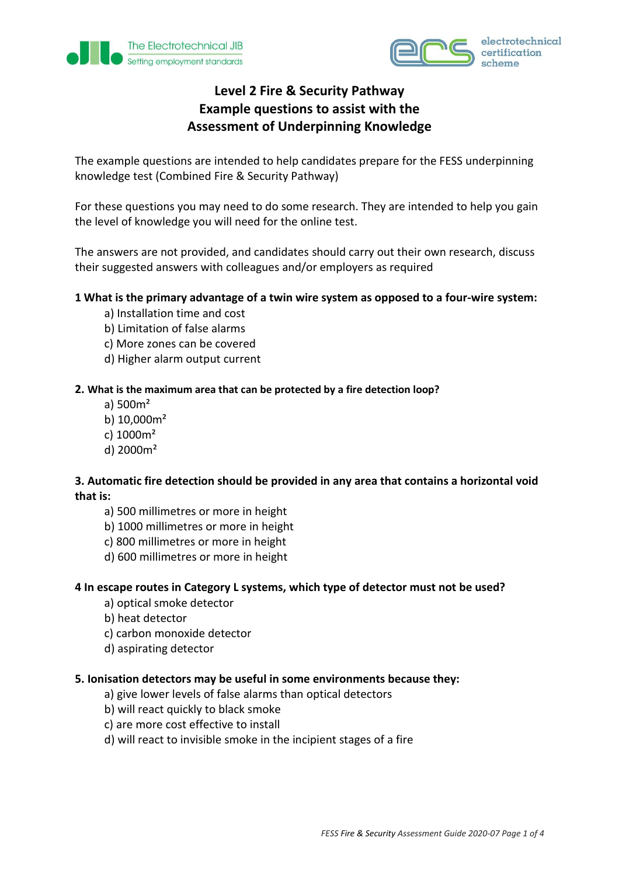



# **Level 2 Fire & Security Pathway Example questions to assist with the Assessment of Underpinning Knowledge**

The example questions are intended to help candidates prepare for the FESS underpinning knowledge test (Combined Fire & Security Pathway)

For these questions you may need to do some research. They are intended to help you gain the level of knowledge you will need for the online test.

The answers are not provided, and candidates should carry out their own research, discuss their suggested answers with colleagues and/or employers as required

## **1 What is the primary advantage of a twin wire system as opposed to a four-wire system:**

- a) Installation time and cost
- b) Limitation of false alarms
- c) More zones can be covered
- d) Higher alarm output current

## **2. What is the maximum area that can be protected by a fire detection loop?**

- a) 500m²
- b) 10,000m²
- c) 1000m²
- d) 2000m²

# **3. Automatic fire detection should be provided in any area that contains a horizontal void that is:**

- a) 500 millimetres or more in height
- b) 1000 millimetres or more in height
- c) 800 millimetres or more in height
- d) 600 millimetres or more in height

## **4 In escape routes in Category L systems, which type of detector must not be used?**

- a) optical smoke detector
- b) heat detector
- c) carbon monoxide detector
- d) aspirating detector

## **5. Ionisation detectors may be useful in some environments because they:**

- a) give lower levels of false alarms than optical detectors
- b) will react quickly to black smoke
- c) are more cost effective to install
- d) will react to invisible smoke in the incipient stages of a fire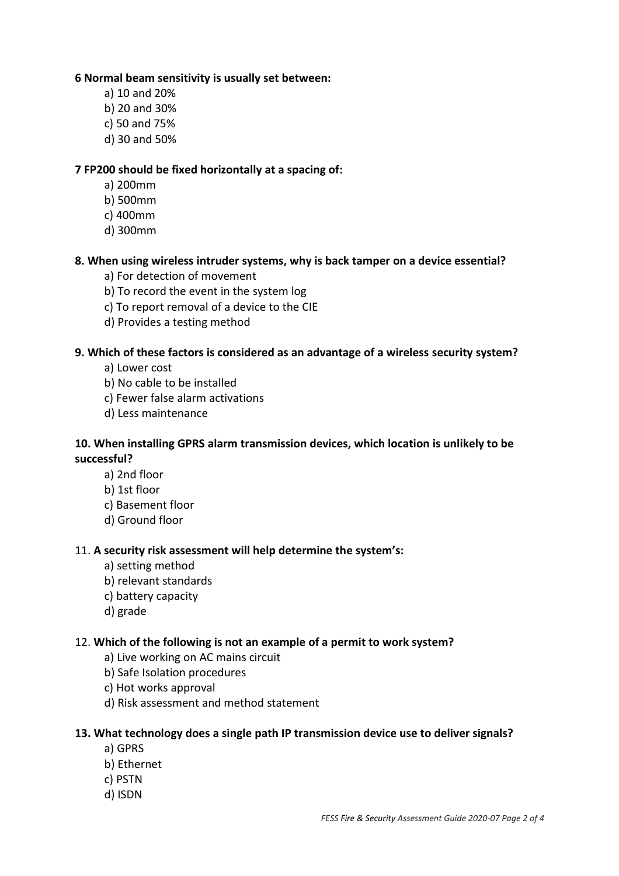## **6 Normal beam sensitivity is usually set between:**

- a) 10 and 20%
- b) 20 and 30%
- c) 50 and 75%
- d) 30 and 50%

## **7 FP200 should be fixed horizontally at a spacing of:**

- a) 200mm
- b) 500mm
- c) 400mm
- d) 300mm

## **8. When using wireless intruder systems, why is back tamper on a device essential?**

- a) For detection of movement
- b) To record the event in the system log
- c) To report removal of a device to the CIE
- d) Provides a testing method

## **9. Which of these factors is considered as an advantage of a wireless security system?**

- a) Lower cost
- b) No cable to be installed
- c) Fewer false alarm activations
- d) Less maintenance

# **10. When installing GPRS alarm transmission devices, which location is unlikely to be successful?**

- a) 2nd floor
- b) 1st floor
- c) Basement floor
- d) Ground floor

## 11. **A security risk assessment will help determine the system's:**

- a) setting method
- b) relevant standards
- c) battery capacity
- d) grade

## 12. **Which of the following is not an example of a permit to work system?**

- a) Live working on AC mains circuit
- b) Safe Isolation procedures
- c) Hot works approval
- d) Risk assessment and method statement

## **13. What technology does a single path IP transmission device use to deliver signals?**

- a) GPRS
- b) Ethernet
- c) PSTN
- d) ISDN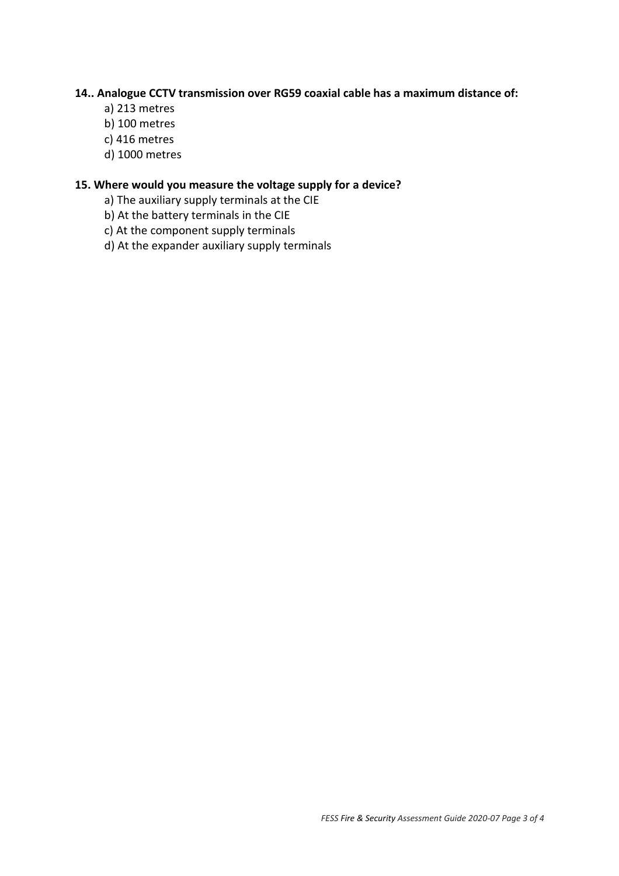## **14.. Analogue CCTV transmission over RG59 coaxial cable has a maximum distance of:**

- a) 213 metres
- b) 100 metres
- c) 416 metres
- d) 1000 metres

## **15. Where would you measure the voltage supply for a device?**

- a) The auxiliary supply terminals at the CIE
- b) At the battery terminals in the CIE
- c) At the component supply terminals
- d) At the expander auxiliary supply terminals